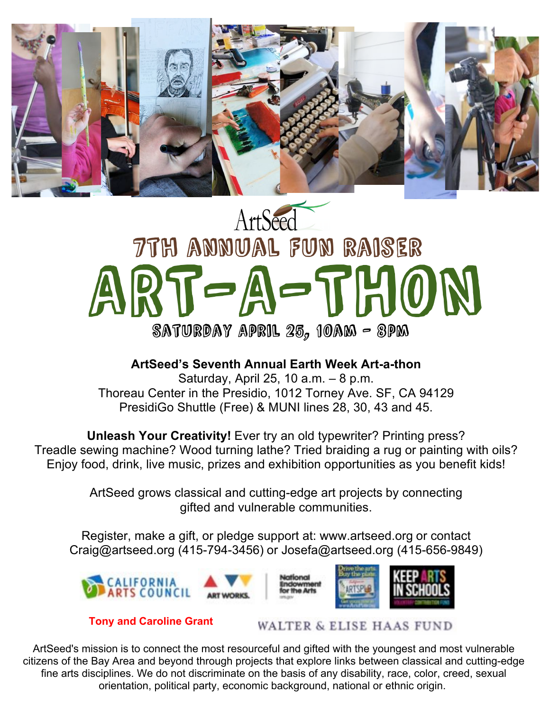

## ArtSeed 7th annual Fun raiser ART-A-THON SATURDAY APRIL  $25<sub>2</sub>$  10AM – 8PM

**ArtSeed's Seventh Annual Earth Week Art-a-thon** Saturday, April 25, 10 a.m. – 8 p.m. Thoreau Center in the Presidio, 1012 Torney Ave. SF, CA 94129 PresidiGo Shuttle (Free) & MUNI lines 28, 30, 43 and 45.

**Unleash Your Creativity!** Ever try an old typewriter? Printing press? Treadle sewing machine? Wood turning lathe? Tried braiding a rug or painting with oils? Enjoy food, drink, live music, prizes and exhibition opportunities as you benefit kids!

> ArtSeed grows classical and cutting-edge art projects by connecting gifted and vulnerable communities.

Register, make a gift, or pledge support at: www.artseed.org or contact Craig@artseed.org (415-794-3456) or Josefa@artseed.org (415-656-9849)



**Tony and Caroline Grant WALTER & ELISE HAAS FUND** 

ArtSeed's mission is to connect the most resourceful and gifted with the youngest and most vulnerable citizens of the Bay Area and beyond through projects that explore links between classical and cutting-edge fine arts disciplines. We do not discriminate on the basis of any disability, race, color, creed, sexual orientation, political party, economic background, national or ethnic origin.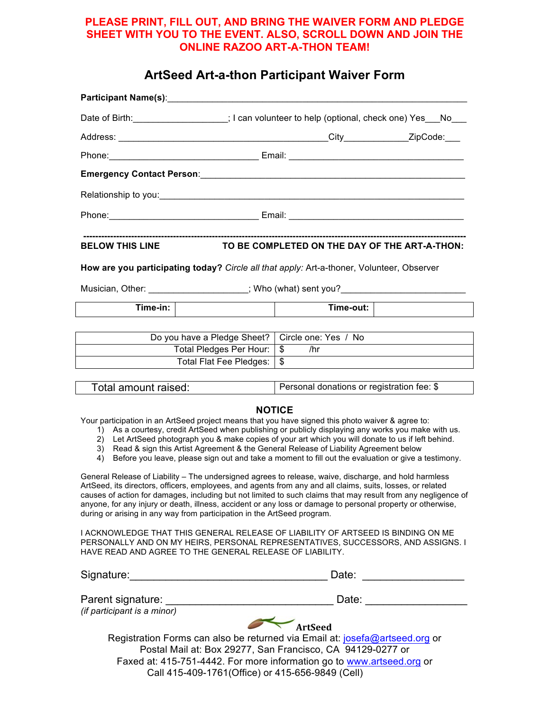#### **PLEASE PRINT, FILL OUT, AND BRING THE WAIVER FORM AND PLEDGE SHEET WITH YOU TO THE EVENT. ALSO, SCROLL DOWN AND JOIN THE ONLINE RAZOO ART-A-THON TEAM!**

#### **ArtSeed Art-a-thon Participant Waiver Form**

| Date of Birth: ___________________; I can volunteer to help (optional, check one) Yes___No___ |                             |                                               |  |
|-----------------------------------------------------------------------------------------------|-----------------------------|-----------------------------------------------|--|
|                                                                                               |                             |                                               |  |
|                                                                                               |                             |                                               |  |
|                                                                                               |                             |                                               |  |
|                                                                                               |                             |                                               |  |
|                                                                                               |                             |                                               |  |
| <b>BELOW THIS LINE</b>                                                                        |                             | TO BE COMPLETED ON THE DAY OF THE ART-A-THON: |  |
| How are you participating today? Circle all that apply: Art-a-thoner, Volunteer, Observer     |                             |                                               |  |
| Musician, Other: ____________________; Who (what) sent you?_____________________              |                             |                                               |  |
| Time-in:                                                                                      |                             | Time-out:                                     |  |
|                                                                                               | Do you have a Pledge Sheet? | Circle one: Yes / No                          |  |
|                                                                                               | Total Pledges Per Hour:     | $\mathbb{S}$<br>/hr                           |  |
|                                                                                               | Total Flat Fee Pledges:     | \$                                            |  |
|                                                                                               |                             |                                               |  |
| Total amount raised:                                                                          |                             | Personal donations or registration fee: \$    |  |

#### **NOTICE**

Your participation in an ArtSeed project means that you have signed this photo waiver & agree to:

- 1) As a courtesy, credit ArtSeed when publishing or publicly displaying any works you make with us.
- 2) Let ArtSeed photograph you & make copies of your art which you will donate to us if left behind.
- 3) Read & sign this Artist Agreement & the General Release of Liability Agreement below
- 4) Before you leave, please sign out and take a moment to fill out the evaluation or give a testimony.

General Release of Liability – The undersigned agrees to release, waive, discharge, and hold harmless ArtSeed, its directors, officers, employees, and agents from any and all claims, suits, losses, or related causes of action for damages, including but not limited to such claims that may result from any negligence of anyone, for any injury or death, illness, accident or any loss or damage to personal property or otherwise, during or arising in any way from participation in the ArtSeed program.

I ACKNOWLEDGE THAT THIS GENERAL RELEASE OF LIABILITY OF ARTSEED IS BINDING ON ME PERSONALLY AND ON MY HEIRS, PERSONAL REPRESENTATIVES, SUCCESSORS, AND ASSIGNS. I HAVE READ AND AGREE TO THE GENERAL RELEASE OF LIABILITY.

| Signature:                                                                  | Date: |
|-----------------------------------------------------------------------------|-------|
| Parent signature:                                                           | Date: |
| (if participant is a minor)                                                 |       |
| <b>ArtSeed</b>                                                              |       |
| Registration Forms can also be returned via Email at: josefa@artseed.org or |       |
| Postal Mail at: Box 29277, San Francisco, CA 94129-0277 or                  |       |
| Faxed at: 415-751-4442. For more information go to www.artseed.org or       |       |
| Call 415-409-1761(Office) or 415-656-9849 (Cell)                            |       |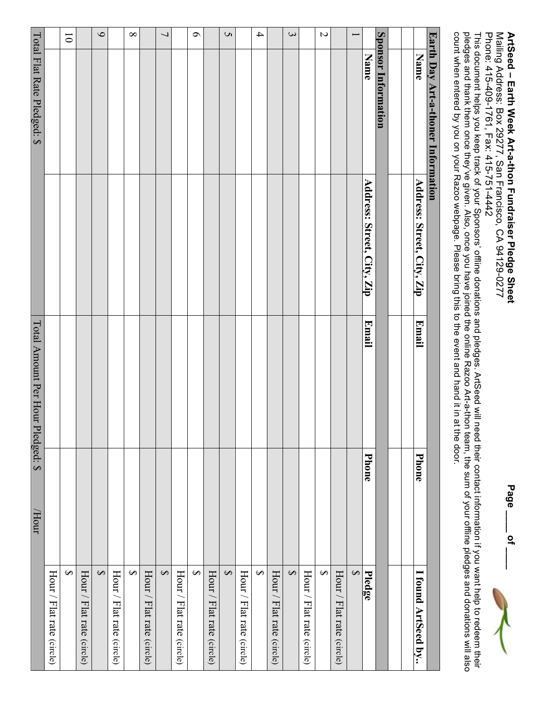# Mailing Address: Box 29277, San Francisco, CA 94129-0277 ArtSeed - Earth Week Art-a-thon Fundraiser Pledge Sheet Mailing Address: Box 29277, San Francisco, CA 94129-0277 **ArtSeed – Earth Week Art-a-thon Fundraiser Pledge Sheet**

Page \_\_\_\_\_\_\_ of **Page \_\_\_\_ of \_\_\_\_**

Phone: 415-409-1761, Fax: 415-751-4442 Phone: 415-409-1761, Fax: 415-751-4442

This document helps you keep track of your Sponsors' offline donations and pledges. ArtSeed will need their contact information if you want help to redeem their pledges and thank them once they've given. Also, once you have joined the online Razoo Art-a-thon team, the sum of your offline pledges and donations will also count when entered by you on your Razoo webpage. Please bring this to the event and hand  $\equiv$ in at the door.

|                          | Earth Day Art-a-thoner Information |                            |                                   |              |                           |
|--------------------------|------------------------------------|----------------------------|-----------------------------------|--------------|---------------------------|
|                          | <b>Name</b>                        | Address: Street, City, Zip | <b>Email</b>                      | <b>Phone</b> | I found ArtSeed by        |
|                          |                                    |                            |                                   |              |                           |
|                          |                                    |                            |                                   |              |                           |
|                          | Sponsor Information                |                            |                                   |              |                           |
|                          | <b>Name</b>                        | Address: Street, City, Zip | <b>Email</b>                      | Phone        | Pledge                    |
| $\overline{\phantom{0}}$ |                                    |                            |                                   |              | $\blacklozenge$           |
|                          |                                    |                            |                                   |              | Hour / Flat rate (circle) |
| $\overline{\mathcal{L}}$ |                                    |                            |                                   |              | $\Theta$                  |
|                          |                                    |                            |                                   |              | Hour / Flat rate (circle) |
| $\mathbf{\hat{z}}$       |                                    |                            |                                   |              | $\leftrightarrow$         |
|                          |                                    |                            |                                   |              | Hour / Flat rate (circle) |
| $\overline{\mathcal{A}}$ |                                    |                            |                                   |              | $\leftrightarrow$         |
|                          |                                    |                            |                                   |              | Hour / Flat rate (circle) |
| $\mathbf{c}$             |                                    |                            |                                   |              | $\leftrightarrow$         |
|                          |                                    |                            |                                   |              | Hour / Flat rate (circle) |
| $\circ$                  |                                    |                            |                                   |              | $\leftrightarrow$         |
|                          |                                    |                            |                                   |              | Hour / Flat rate (circle) |
| $\overline{\phantom{0}}$ |                                    |                            |                                   |              | $\leftrightarrow$         |
|                          |                                    |                            |                                   |              | Hour / Flat rate (circle) |
| $\infty$                 |                                    |                            |                                   |              | $\leftrightarrow$         |
|                          |                                    |                            |                                   |              | Hour / Flat rate (circle) |
| $\circ$                  |                                    |                            |                                   |              | $\leftrightarrow$         |
|                          |                                    |                            |                                   |              | Hour / Flat rate (circle) |
| $\overline{0}$           |                                    |                            |                                   |              | $\Theta$                  |
|                          |                                    |                            |                                   |              | Hour / Flat rate (circle) |
|                          | Total Flat Rate Pledged: \$        |                            | Total Amount Per Hour Pledged: \$ | <b>/Hour</b> |                           |